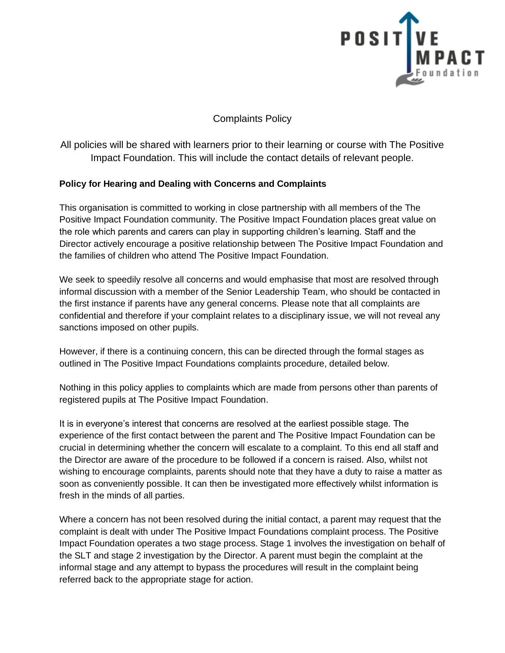

Complaints Policy

All policies will be shared with learners prior to their learning or course with The Positive Impact Foundation. This will include the contact details of relevant people.

## **Policy for Hearing and Dealing with Concerns and Complaints**

This organisation is committed to working in close partnership with all members of the The Positive Impact Foundation community. The Positive Impact Foundation places great value on the role which parents and carers can play in supporting children's learning. Staff and the Director actively encourage a positive relationship between The Positive Impact Foundation and the families of children who attend The Positive Impact Foundation.

We seek to speedily resolve all concerns and would emphasise that most are resolved through informal discussion with a member of the Senior Leadership Team, who should be contacted in the first instance if parents have any general concerns. Please note that all complaints are confidential and therefore if your complaint relates to a disciplinary issue, we will not reveal any sanctions imposed on other pupils.

However, if there is a continuing concern, this can be directed through the formal stages as outlined in The Positive Impact Foundations complaints procedure, detailed below.

Nothing in this policy applies to complaints which are made from persons other than parents of registered pupils at The Positive Impact Foundation.

It is in everyone's interest that concerns are resolved at the earliest possible stage. The experience of the first contact between the parent and The Positive Impact Foundation can be crucial in determining whether the concern will escalate to a complaint. To this end all staff and the Director are aware of the procedure to be followed if a concern is raised. Also, whilst not wishing to encourage complaints, parents should note that they have a duty to raise a matter as soon as conveniently possible. It can then be investigated more effectively whilst information is fresh in the minds of all parties.

Where a concern has not been resolved during the initial contact, a parent may request that the complaint is dealt with under The Positive Impact Foundations complaint process. The Positive Impact Foundation operates a two stage process. Stage 1 involves the investigation on behalf of the SLT and stage 2 investigation by the Director. A parent must begin the complaint at the informal stage and any attempt to bypass the procedures will result in the complaint being referred back to the appropriate stage for action.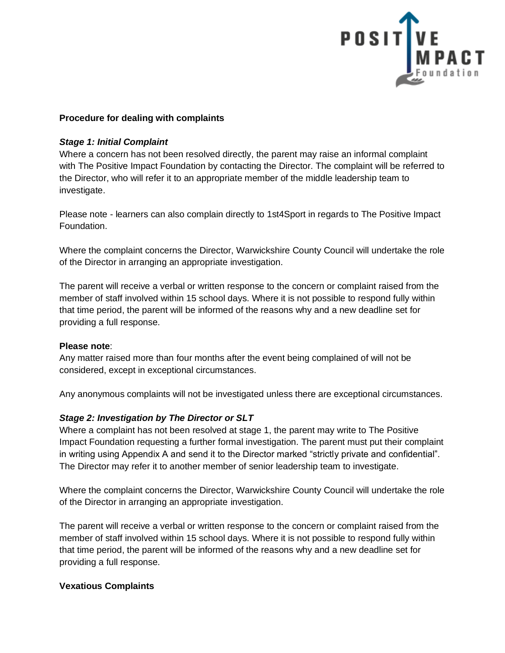

## **Procedure for dealing with complaints**

#### *Stage 1: Initial Complaint*

Where a concern has not been resolved directly, the parent may raise an informal complaint with The Positive Impact Foundation by contacting the Director. The complaint will be referred to the Director, who will refer it to an appropriate member of the middle leadership team to investigate.

Please note - learners can also complain directly to 1st4Sport in regards to The Positive Impact Foundation.

Where the complaint concerns the Director, Warwickshire County Council will undertake the role of the Director in arranging an appropriate investigation.

The parent will receive a verbal or written response to the concern or complaint raised from the member of staff involved within 15 school days. Where it is not possible to respond fully within that time period, the parent will be informed of the reasons why and a new deadline set for providing a full response.

#### **Please note**:

Any matter raised more than four months after the event being complained of will not be considered, except in exceptional circumstances.

Any anonymous complaints will not be investigated unless there are exceptional circumstances.

## *Stage 2: Investigation by The Director or SLT*

Where a complaint has not been resolved at stage 1, the parent may write to The Positive Impact Foundation requesting a further formal investigation. The parent must put their complaint in writing using Appendix A and send it to the Director marked "strictly private and confidential". The Director may refer it to another member of senior leadership team to investigate.

Where the complaint concerns the Director, Warwickshire County Council will undertake the role of the Director in arranging an appropriate investigation.

The parent will receive a verbal or written response to the concern or complaint raised from the member of staff involved within 15 school days. Where it is not possible to respond fully within that time period, the parent will be informed of the reasons why and a new deadline set for providing a full response.

#### **Vexatious Complaints**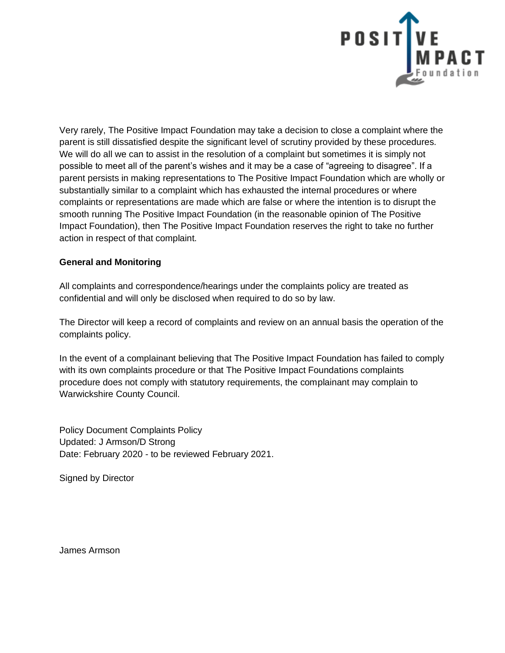

Very rarely, The Positive Impact Foundation may take a decision to close a complaint where the parent is still dissatisfied despite the significant level of scrutiny provided by these procedures. We will do all we can to assist in the resolution of a complaint but sometimes it is simply not possible to meet all of the parent's wishes and it may be a case of "agreeing to disagree". If a parent persists in making representations to The Positive Impact Foundation which are wholly or substantially similar to a complaint which has exhausted the internal procedures or where complaints or representations are made which are false or where the intention is to disrupt the smooth running The Positive Impact Foundation (in the reasonable opinion of The Positive Impact Foundation), then The Positive Impact Foundation reserves the right to take no further action in respect of that complaint.

## **General and Monitoring**

All complaints and correspondence/hearings under the complaints policy are treated as confidential and will only be disclosed when required to do so by law.

The Director will keep a record of complaints and review on an annual basis the operation of the complaints policy.

In the event of a complainant believing that The Positive Impact Foundation has failed to comply with its own complaints procedure or that The Positive Impact Foundations complaints procedure does not comply with statutory requirements, the complainant may complain to Warwickshire County Council.

Policy Document Complaints Policy Updated: J Armson/D Strong Date: February 2020 - to be reviewed February 2021.

Signed by Director

James Armson